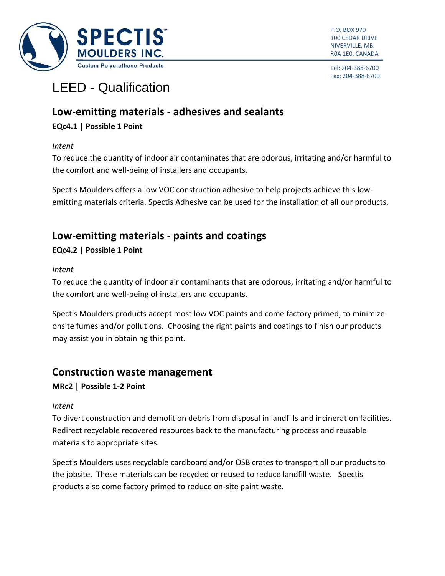

P.O. BOX 970 100 CEDAR DRIVE NIVERVILLE, MB. R0A 1E0, CANADA

Tel: 204-388-6700 Fax: 204-388-6700

# LEED - [Qualification](http://www.usgbc.org/)

# **Low-emitting materials - adhesives and sealants**

#### **EQc4.1 | Possible 1 Point**

*Intent*

To reduce the quantity of indoor air contaminates that are odorous, irritating and/or harmful to the comfort and well-being of installers and occupants.

Spectis Moulders offers a low VOC construction adhesive to help projects achieve this lowemitting materials criteria. Spectis Adhesive can be used for the installation of all our products.

# **Low-emitting materials - paints and coatings**

#### **EQc4.2 | Possible 1 Point**

#### *Intent*

To reduce the quantity of indoor air [contaminants](http://www.usgbc.org/glossary/term/4352) that are odorous, irritating and/or harmful to the comfort and well-being of installers and [occupants.](http://www.usgbc.org/glossary/term/4634)

Spectis Moulders products accept most low VOC paints and come factory primed, to minimize onsite fumes and/or pollutions. Choosing the right paints and coatings to finish our products may assist you in obtaining this point.

# **Construction waste management**

#### **MRc2 | Possible 1-2 Point**

#### *Intent*

To divert [construction and demolition debris](http://www.usgbc.org/glossary/term/4347) from disposal in [landfills](http://www.usgbc.org/glossary/term/4543) and incineration facilities. Redirect recyclable recovered resources back to the [manufacturing](http://www.usgbc.org/glossary/term/4586) process and reusable materials to appropriate sites.

Spectis Moulders uses recyclable cardboard and/or OSB crates to transport all our products to the jobsite. These materials can be recycled or reused to reduce landfill waste. Spectis products also come factory primed to reduce on-site paint waste.